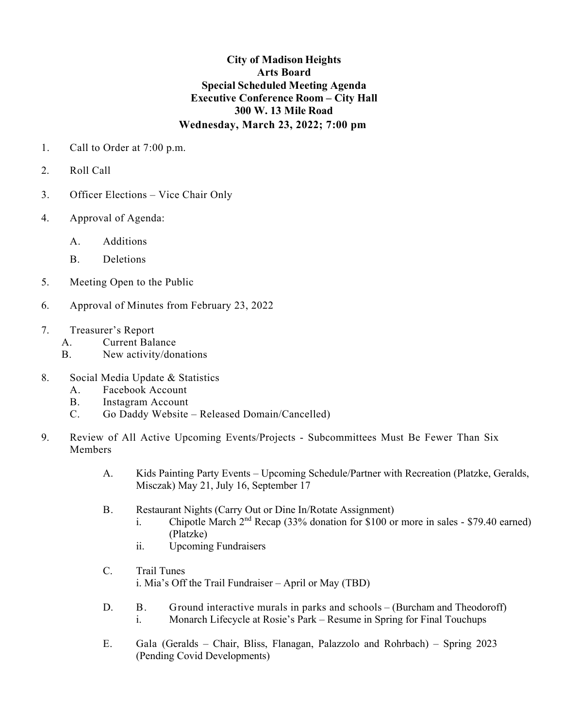## **City of Madison Heights Arts Board Special Scheduled Meeting Agenda Executive Conference Room – City Hall 300 W. 13 Mile Road Wednesday, March 23, 2022; 7:00 pm**

- 1. Call to Order at 7:00 p.m.
- 2. Roll Call
- 3. Officer Elections Vice Chair Only
- 4. Approval of Agenda:
	- A. Additions
	- B. Deletions
- 5. Meeting Open to the Public
- 6. Approval of Minutes from February 23, 2022
- 7. Treasurer's Report
	- A. Current Balance
	- B. New activity/donations
- 8. Social Media Update & Statistics
	- A. Facebook Account
	- B. Instagram Account
	- C. Go Daddy Website Released Domain/Cancelled)
- 9. Review of All Active Upcoming Events/Projects Subcommittees Must Be Fewer Than Six **Members** 
	- A. Kids Painting Party Events Upcoming Schedule/Partner with Recreation (Platzke, Geralds, Misczak) May 21, July 16, September 17
	- B. Restaurant Nights (Carry Out or Dine In/Rotate Assignment)
		- i. Chipotle March  $2<sup>nd</sup>$  Recap (33% donation for \$100 or more in sales \$79.40 earned) (Platzke)
		- ii. Upcoming Fundraisers
	- C. Trail Tunes i. Mia's Off the Trail Fundraiser – April or May (TBD)
	- D. B. Ground interactive murals in parks and schools (Burcham and Theodoroff) i. Monarch Lifecycle at Rosie's Park – Resume in Spring for Final Touchups
	- E. Gala (Geralds Chair, Bliss, Flanagan, Palazzolo and Rohrbach) Spring 2023 (Pending Covid Developments)